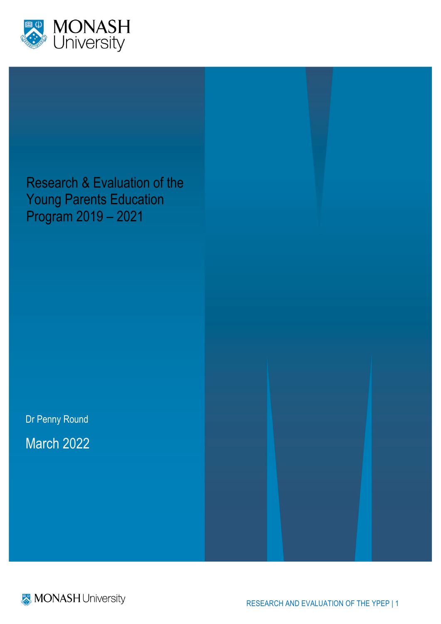

Research & Evaluation of the Young Parents Education Program 2019 – 2021

Dr Penny Round March 2022



RESEARCH AND EVALUATION OF THE YPEP | 1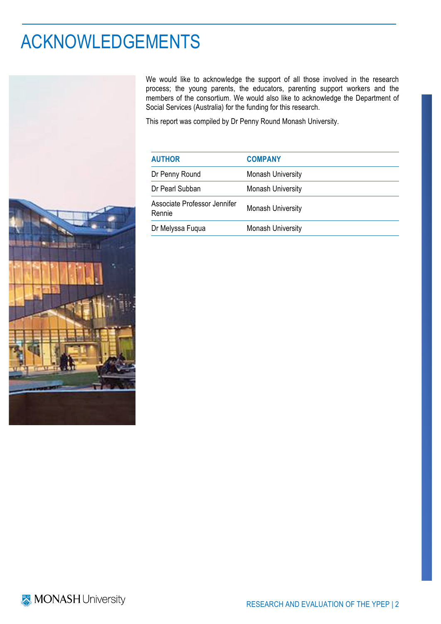# ACKNOWLEDGEMENTS



We would like to acknowledge the support of all those involved in the research process; the young parents, the educators, parenting support workers and the members of the consortium. We would also like to acknowledge the Department of Social Services (Australia) for the funding for this research.

This report was compiled by Dr Penny Round Monash University.

| <b>COMPANY</b>           |
|--------------------------|
| <b>Monash University</b> |
| <b>Monash University</b> |
| <b>Monash University</b> |
| <b>Monash University</b> |
|                          |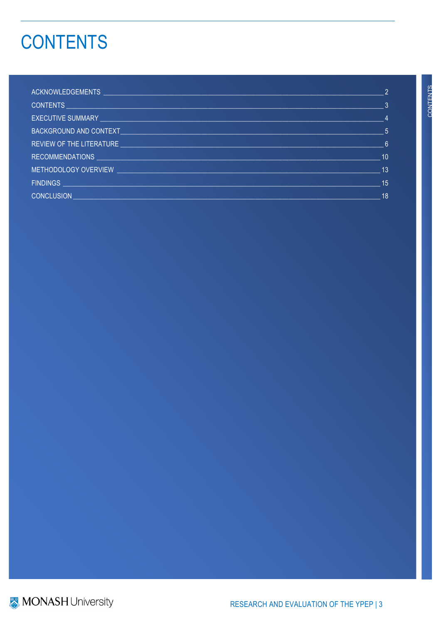# **CONTENTS**

|                                                                                                                   | $\mathcal{P}$  |
|-------------------------------------------------------------------------------------------------------------------|----------------|
|                                                                                                                   | 3              |
|                                                                                                                   | $\overline{4}$ |
| BACKGROUND AND CONTEXT AND RESIDENCE AND RESIDENCE AND RELEASED FOR A STRUCK AND RELEASED FOR A STRUCK OF STRUCK. | $\sim$ 5       |
| <b>REVIEW OF THE LITERATURE EXAMPLE 2008 AND THE SERVICE STATE</b>                                                | 6 <sub>6</sub> |
|                                                                                                                   | 10             |
|                                                                                                                   | 13             |
|                                                                                                                   | 15             |
| <b>CONCLUSION</b>                                                                                                 | 18             |

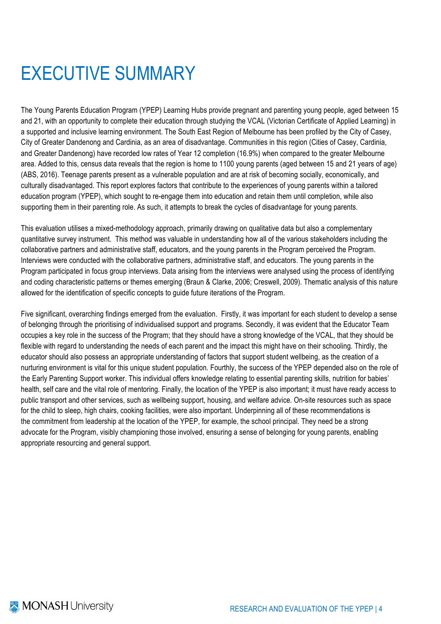# EXECUTIVE SUMMARY

The Young Parents Education Program (YPEP) Learning Hubs provide pregnant and parenting young people, aged between 15 and 21, with an opportunity to complete their education through studying the VCAL (Victorian Certificate of Applied Learning) in a supported and inclusive learning environment. The South East Region of Melbourne has been profiled by the City of Casey, City of Greater Dandenong and Cardinia, as an area of disadvantage. Communities in this region (Cities of Casey, Cardinia, and Greater Dandenong) have recorded low rates of Year 12 completion (16.9%) when compared to the greater Melbourne area. Added to this, census data reveals that the region is home to 1100 young parents (aged between 15 and 21 years of age) (ABS, 2016). Teenage parents present as a vulnerable population and are at risk of becoming socially, economically, and culturally disadvantaged. This report explores factors that contribute to the experiences of young parents within a tailored education program (YPEP), which sought to re-engage them into education and retain them until completion, while also supporting them in their parenting role. As such, it attempts to break the cycles of disadvantage for young parents.

This evaluation utilises a mixed-methodology approach, primarily drawing on qualitative data but also a complementary quantitative survey instrument. This method was valuable in understanding how all of the various stakeholders including the collaborative partners and administrative staff, educators, and the young parents in the Program perceived the Program. Interviews were conducted with the collaborative partners, administrative staff, and educators. The young parents in the Program participated in focus group interviews. Data arising from the interviews were analysed using the process of identifying and coding characteristic patterns or themes emerging (Braun & Clarke, 2006; Creswell, 2009). Thematic analysis of this nature allowed for the identification of specific concepts to guide future iterations of the Program.

Five significant, overarching findings emerged from the evaluation. Firstly, it was important for each student to develop a sense of belonging through the prioritising of individualised support and programs. Secondly, it was evident that the Educator Team occupies a key role in the success of the Program; that they should have a strong knowledge of the VCAL, that they should be flexible with regard to understanding the needs of each parent and the impact this might have on their schooling. Thirdly, the educator should also possess an appropriate understanding of factors that support student wellbeing, as the creation of a nurturing environment is vital for this unique student population. Fourthly, the success of the YPEP depended also on the role of the Early Parenting Support worker. This individual offers knowledge relating to essential parenting skills, nutrition for babies' health, self care and the vital role of mentoring. Finally, the location of the YPEP is also important; it must have ready access to public transport and other services, such as wellbeing support, housing, and welfare advice. On-site resources such as space for the child to sleep, high chairs, cooking facilities, were also important. Underpinning all of these recommendations is the commitment from leadership at the location of the YPEP, for example, the school principal. They need be a strong advocate for the Program, visibly championing those involved, ensuring a sense of belonging for young parents, enabling appropriate resourcing and general support.

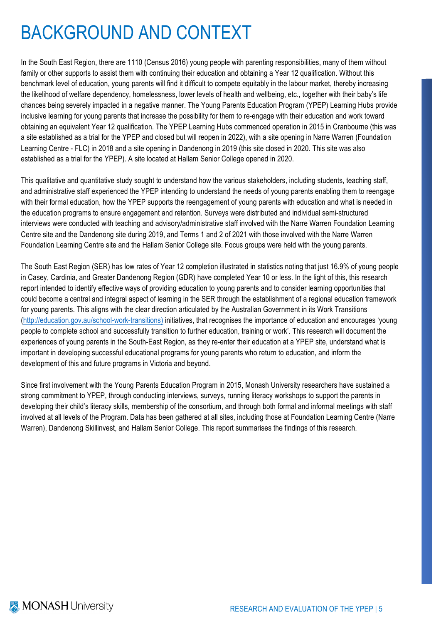# BACKGROUND AND CONTEXT

In the South East Region, there are 1110 (Census 2016) young people with parenting responsibilities, many of them without family or other supports to assist them with continuing their education and obtaining a Year 12 qualification. Without this benchmark level of education, young parents will find it difficult to compete equitably in the labour market, thereby increasing the likelihood of welfare dependency, homelessness, lower levels of health and wellbeing, etc., together with their baby's life chances being severely impacted in a negative manner. The Young Parents Education Program (YPEP) Learning Hubs provide inclusive learning for young parents that increase the possibility for them to re-engage with their education and work toward obtaining an equivalent Year 12 qualification. The YPEP Learning Hubs commenced operation in 2015 in Cranbourne (this was a site established as a trial for the YPEP and closed but will reopen in 2022), with a site opening in Narre Warren (Foundation Learning Centre - FLC) in 2018 and a site opening in Dandenong in 2019 (this site closed in 2020. This site was also established as a trial for the YPEP). A site located at Hallam Senior College opened in 2020.

This qualitative and quantitative study sought to understand how the various stakeholders, including students, teaching staff, and administrative staff experienced the YPEP intending to understand the needs of young parents enabling them to reengage with their formal education, how the YPEP supports the reengagement of young parents with education and what is needed in the education programs to ensure engagement and retention. Surveys were distributed and individual semi-structured interviews were conducted with teaching and advisory/administrative staff involved with the Narre Warren Foundation Learning Centre site and the Dandenong site during 2019, and Terms 1 and 2 of 2021 with those involved with the Narre Warren Foundation Learning Centre site and the Hallam Senior College site. Focus groups were held with the young parents.

The South East Region (SER) has low rates of Year 12 completion illustrated in statistics noting that just 16.9% of young people in Casey, Cardinia, and Greater Dandenong Region (GDR) have completed Year 10 or less. In the light of this, this research report intended to identify effective ways of providing education to young parents and to consider learning opportunities that could become a central and integral aspect of learning in the SER through the establishment of a regional education framework for young parents. This aligns with the clear direction articulated by the Australian Government in its Work Transitions (http://education.gov.au/school-work-transitions) initiatives, that recognises the importance of education and encourages 'young people to complete school and successfully transition to further education, training or work'. This research will document the experiences of young parents in the South-East Region, as they re-enter their education at a YPEP site, understand what is important in developing successful educational programs for young parents who return to education, and inform the development of this and future programs in Victoria and beyond.

Since first involvement with the Young Parents Education Program in 2015, Monash University researchers have sustained a strong commitment to YPEP, through conducting interviews, surveys, running literacy workshops to support the parents in developing their child's literacy skills, membership of the consortium, and through both formal and informal meetings with staff involved at all levels of the Program. Data has been gathered at all sites, including those at Foundation Learning Centre (Narre Warren), Dandenong Skillinvest, and Hallam Senior College. This report summarises the findings of this research.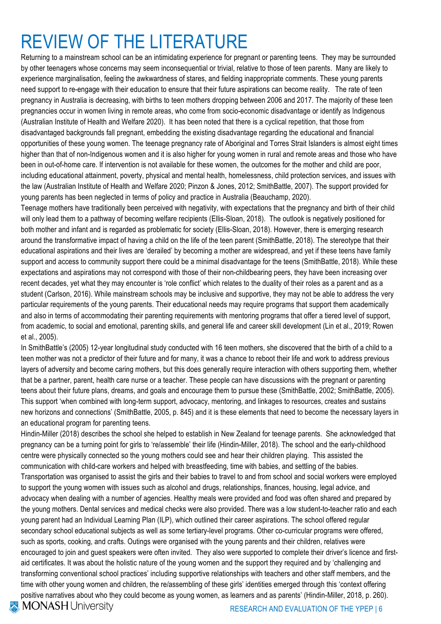# REVIEW OF THE LITERATURE

Returning to a mainstream school can be an intimidating experience for pregnant or parenting teens. They may be surrounded by other teenagers whose concerns may seem inconsequential or trivial, relative to those of teen parents. Many are likely to experience marginalisation, feeling the awkwardness of stares, and fielding inappropriate comments. These young parents need support to re-engage with their education to ensure that their future aspirations can become reality. The rate of teen pregnancy in Australia is decreasing, with births to teen mothers dropping between 2006 and 2017. The majority of these teen pregnancies occur in women living in remote areas, who come from socio-economic disadvantage or identify as Indigenous (Australian Institute of Health and Welfare 2020). It has been noted that there is a cyclical repetition, that those from disadvantaged backgrounds fall pregnant, embedding the existing disadvantage regarding the educational and financial opportunities of these young women. The teenage pregnancy rate of Aboriginal and Torres Strait Islanders is almost eight times higher than that of non-Indigenous women and it is also higher for young women in rural and remote areas and those who have been in out-of-home care. If intervention is not available for these women, the outcomes for the mother and child are poor, including educational attainment, poverty, physical and mental health, homelessness, child protection services, and issues with the law (Australian Institute of Health and Welfare 2020; Pinzon & Jones, 2012; SmithBattle, 2007). The support provided for young parents has been neglected in terms of policy and practice in Australia (Beauchamp, 2020).

Teenage mothers have traditionally been perceived with negativity, with expectations that the pregnancy and birth of their child will only lead them to a pathway of becoming welfare recipients (Ellis-Sloan, 2018). The outlook is negatively positioned for both mother and infant and is regarded as problematic for society (Ellis-Sloan, 2018). However, there is emerging research around the transformative impact of having a child on the life of the teen parent (SmithBattle, 2018). The stereotype that their educational aspirations and their lives are 'derailed' by becoming a mother are widespread, and yet if these teens have family support and access to community support there could be a minimal disadvantage for the teens (SmithBattle, 2018). While these expectations and aspirations may not correspond with those of their non-childbearing peers, they have been increasing over recent decades, yet what they may encounter is 'role conflict' which relates to the duality of their roles as a parent and as a student (Carlson, 2016). While mainstream schools may be inclusive and supportive, they may not be able to address the very particular requirements of the young parents. Their educational needs may require programs that support them academically and also in terms of accommodating their parenting requirements with mentoring programs that offer a tiered level of support, from academic, to social and emotional, parenting skills, and general life and career skill development (Lin et al., 2019; Rowen et al., 2005).

In SmithBattle's (2005) 12-year longitudinal study conducted with 16 teen mothers, she discovered that the birth of a child to a teen mother was not a predictor of their future and for many, it was a chance to reboot their life and work to address previous layers of adversity and become caring mothers, but this does generally require interaction with others supporting them, whether that be a partner, parent, health care nurse or a teacher. These people can have discussions with the pregnant or parenting teens about their future plans, dreams, and goals and encourage them to pursue these (SmithBattle, 2002; SmithBattle, 2005). This support 'when combined with long-term support, advocacy, mentoring, and linkages to resources, creates and sustains new horizons and connections' (SmithBattle, 2005, p. 845) and it is these elements that need to become the necessary layers in an educational program for parenting teens.

Hindin-Miller (2018) describes the school she helped to establish in New Zealand for teenage parents. She acknowledged that pregnancy can be a turning point for girls to 're/assemble' their life (Hindin-Miller, 2018). The school and the early-childhood centre were physically connected so the young mothers could see and hear their children playing. This assisted the communication with child-care workers and helped with breastfeeding, time with babies, and settling of the babies. Transportation was organised to assist the girls and their babies to travel to and from school and social workers were employed to support the young women with issues such as alcohol and drugs, relationships, finances, housing, legal advice, and advocacy when dealing with a number of agencies. Healthy meals were provided and food was often shared and prepared by the young mothers. Dental services and medical checks were also provided. There was a low student-to-teacher ratio and each young parent had an Individual Learning Plan (ILP), which outlined their career aspirations. The school offered regular secondary school educational subjects as well as some tertiary-level programs. Other co-curricular programs were offered, such as sports, cooking, and crafts. Outings were organised with the young parents and their children, relatives were encouraged to join and guest speakers were often invited. They also were supported to complete their driver's licence and firstaid certificates. It was about the holistic nature of the young women and the support they required and by 'challenging and transforming conventional school practices' including supportive relationships with teachers and other staff members, and the time with other young women and children, the re/assembling of these girls' identities emerged through this 'context offering positive narratives about who they could become as young women, as learners and as parents' (Hindin-Miller, 2018, p. 260).

**MONASH University** 

RESEARCH AND EVALUATION OF THE YPEP | 6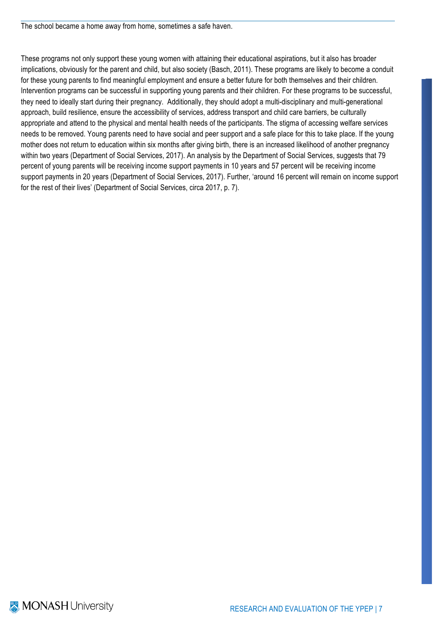The school became a home away from home, sometimes a safe haven.

These programs not only support these young women with attaining their educational aspirations, but it also has broader implications, obviously for the parent and child, but also society (Basch, 2011). These programs are likely to become a conduit for these young parents to find meaningful employment and ensure a better future for both themselves and their children. Intervention programs can be successful in supporting young parents and their children. For these programs to be successful, they need to ideally start during their pregnancy. Additionally, they should adopt a multi-disciplinary and multi-generational approach, build resilience, ensure the accessibility of services, address transport and child care barriers, be culturally appropriate and attend to the physical and mental health needs of the participants. The stigma of accessing welfare services needs to be removed. Young parents need to have social and peer support and a safe place for this to take place. If the young mother does not return to education within six months after giving birth, there is an increased likelihood of another pregnancy within two years (Department of Social Services, 2017). An analysis by the Department of Social Services, suggests that 79 percent of young parents will be receiving income support payments in 10 years and 57 percent will be receiving income support payments in 20 years (Department of Social Services, 2017). Further, 'around 16 percent will remain on income support for the rest of their lives' (Department of Social Services, circa 2017, p. 7).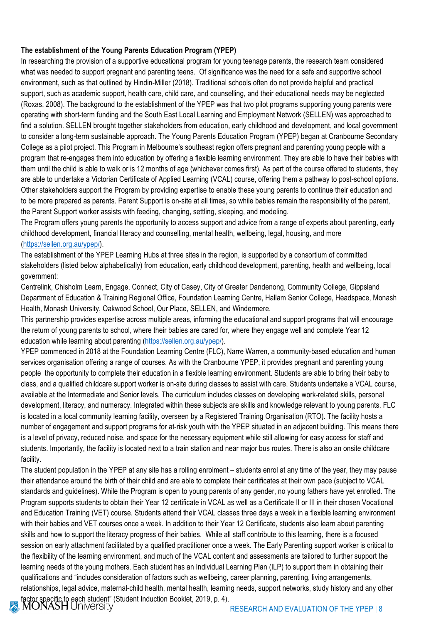### **The establishment of the Young Parents Education Program (YPEP)**

In researching the provision of a supportive educational program for young teenage parents, the research team considered what was needed to support pregnant and parenting teens. Of significance was the need for a safe and supportive school environment, such as that outlined by Hindin-Miller (2018). Traditional schools often do not provide helpful and practical support, such as academic support, health care, child care, and counselling, and their educational needs may be neglected (Roxas, 2008). The background to the establishment of the YPEP was that two pilot programs supporting young parents were operating with short-term funding and the South East Local Learning and Employment Network (SELLEN) was approached to find a solution. SELLEN brought together stakeholders from education, early childhood and development, and local government to consider a long-term sustainable approach. The Young Parents Education Program (YPEP) began at Cranbourne Secondary College as a pilot project. This Program in Melbourne's southeast region offers pregnant and parenting young people with a program that re-engages them into education by offering a flexible learning environment. They are able to have their babies with them until the child is able to walk or is 12 months of age (whichever comes first). As part of the course offered to students, they are able to undertake a Victorian Certificate of Applied Learning (VCAL) course, offering them a pathway to post-school options. Other stakeholders support the Program by providing expertise to enable these young parents to continue their education and to be more prepared as parents. Parent Support is on-site at all times, so while babies remain the responsibility of the parent, the Parent Support worker assists with feeding, changing, settling, sleeping, and modeling.

The Program offers young parents the opportunity to access support and advice from a range of experts about parenting, early childhood development, financial literacy and counselling, mental health, wellbeing, legal, housing, and more (https://sellen.org.au/ypep/).

The establishment of the YPEP Learning Hubs at three sites in the region, is supported by a consortium of committed stakeholders (listed below alphabetically) from education, early childhood development, parenting, health and wellbeing, local government:

Centrelink, Chisholm Learn, Engage, Connect, City of Casey, City of Greater Dandenong, Community College, Gippsland Department of Education & Training Regional Office, Foundation Learning Centre, Hallam Senior College, Headspace, Monash Health, Monash University, Oakwood School, Our Place, SELLEN, and Windermere.

This partnership provides expertise across multiple areas, informing the educational and support programs that will encourage the return of young parents to school, where their babies are cared for, where they engage well and complete Year 12 education while learning about parenting (https://sellen.org.au/ypep/).

YPEP commenced in 2018 at the Foundation Learning Centre (FLC), Narre Warren, a community-based education and human services organisation offering a range of courses. As with the Cranbourne YPEP, it provides pregnant and parenting young people the opportunity to complete their education in a flexible learning environment. Students are able to bring their baby to class, and a qualified childcare support worker is on-site during classes to assist with care. Students undertake a VCAL course, available at the Intermediate and Senior levels. The curriculum includes classes on developing work-related skills, personal development, literacy, and numeracy. Integrated within these subjects are skills and knowledge relevant to young parents. FLC is located in a local community learning facility, overseen by a Registered Training Organisation (RTO). The facility hosts a number of engagement and support programs for at-risk youth with the YPEP situated in an adjacent building. This means there is a level of privacy, reduced noise, and space for the necessary equipment while still allowing for easy access for staff and students. Importantly, the facility is located next to a train station and near major bus routes. There is also an onsite childcare facility.

The student population in the YPEP at any site has a rolling enrolment – students enrol at any time of the year, they may pause their attendance around the birth of their child and are able to complete their certificates at their own pace (subject to VCAL standards and guidelines). While the Program is open to young parents of any gender, no young fathers have yet enrolled. The Program supports students to obtain their Year 12 certificate in VCAL as well as a Certificate II or III in their chosen Vocational and Education Training (VET) course. Students attend their VCAL classes three days a week in a flexible learning environment with their babies and VET courses once a week. In addition to their Year 12 Certificate, students also learn about parenting skills and how to support the literacy progress of their babies. While all staff contribute to this learning, there is a focused session on early attachment facilitated by a qualified practitioner once a week. The Early Parenting support worker is critical to the flexibility of the learning environment, and much of the VCAL content and assessments are tailored to further support the learning needs of the young mothers. Each student has an Individual Learning Plan (ILP) to support them in obtaining their qualifications and "includes consideration of factors such as wellbeing, career planning, parenting, living arrangements, relationships, legal advice, maternal-child health, mental health, learning needs, support networks, study history and any other factor specific to each student" (Student Induction Booklet, 2019, p. 4).<br>MONASH UNIVERSITY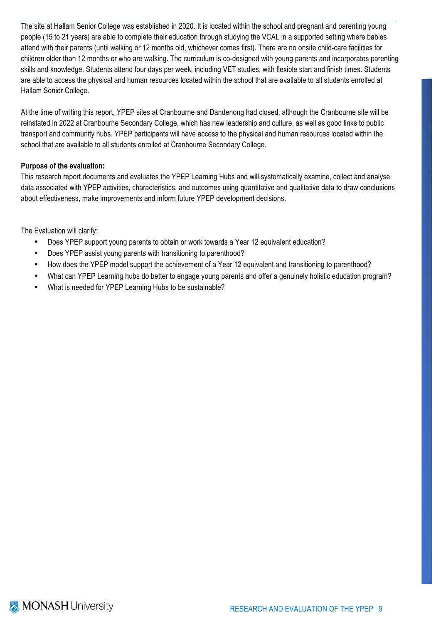The site at Hallam Senior College was established in 2020. It is located within the school and pregnant and parenting young people (15 to 21 years) are able to complete their education through studying the VCAL in a supported setting where babies attend with their parents (until walking or 12 months old, whichever comes first). There are no onsite child-care facilities for children older than 12 months or who are walking. The curriculum is co-designed with young parents and incorporates parenting skills and knowledge. Students attend four days per week, including VET studies, with flexible start and finish times. Students are able to access the physical and human resources located within the school that are available to all students enrolled at Hallam Senior College.

At the time of writing this report, YPEP sites at Cranbourne and Dandenong had closed, although the Cranbourne site will be reinstated in 2022 at Cranbourne Secondary College, which has new leadership and culture, as well as good links to public transport and community hubs. YPEP participants will have access to the physical and human resources located within the school that are available to all students enrolled at Cranbourne Secondary College.

### **Purpose of the evaluation:**

This research report documents and evaluates the YPEP Learning Hubs and will systematically examine, collect and analyse data associated with YPEP activities, characteristics, and outcomes using quantitative and qualitative data to draw conclusions about effectiveness, make improvements and inform future YPEP development decisions.

The Evaluation will clarify:

- Does YPEP support young parents to obtain or work towards a Year 12 equivalent education?
- Does YPEP assist young parents with transitioning to parenthood?
- How does the YPEP model support the achievement of a Year 12 equivalent and transitioning to parenthood?
- What can YPEP Learning hubs do better to engage young parents and offer a genuinely holistic education program?
- What is needed for YPEP Learning Hubs to be sustainable?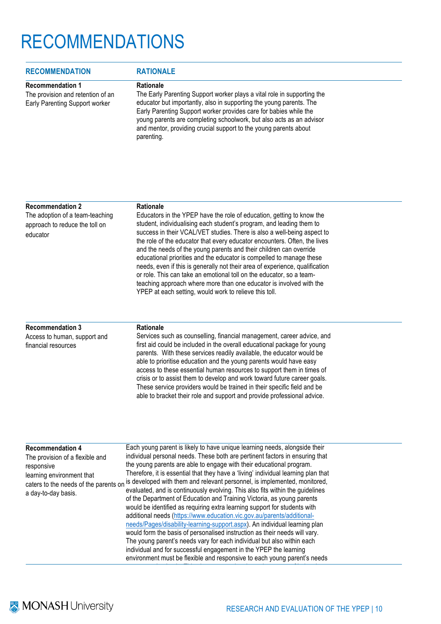# RECOMMENDATIONS

| <b>RECOMMENDATION</b>                                                                          | <b>RATIONALE</b>                                                                                                                                                                                                                                                                                                                                                                                  |  |
|------------------------------------------------------------------------------------------------|---------------------------------------------------------------------------------------------------------------------------------------------------------------------------------------------------------------------------------------------------------------------------------------------------------------------------------------------------------------------------------------------------|--|
| <b>Recommendation 1</b><br>The provision and retention of an<br>Early Parenting Support worker | <b>Rationale</b><br>The Early Parenting Support worker plays a vital role in supporting the<br>educator but importantly, also in supporting the young parents. The<br>Early Parenting Support worker provides care for babies while the<br>young parents are completing schoolwork, but also acts as an advisor<br>and mentor, providing crucial support to the young parents about<br>parenting. |  |

| <b>Recommendation 2</b>                                                       | <b>Rationale</b>                                                                                                                                                                                                                                                                                                                                                                                                                                                                                                                                                                                                                                                                                                                             |
|-------------------------------------------------------------------------------|----------------------------------------------------------------------------------------------------------------------------------------------------------------------------------------------------------------------------------------------------------------------------------------------------------------------------------------------------------------------------------------------------------------------------------------------------------------------------------------------------------------------------------------------------------------------------------------------------------------------------------------------------------------------------------------------------------------------------------------------|
| The adoption of a team-teaching<br>approach to reduce the toll on<br>educator | Educators in the YPEP have the role of education, getting to know the<br>student, individualising each student's program, and leading them to<br>success in their VCAL/VET studies. There is also a well-being aspect to<br>the role of the educator that every educator encounters. Often, the lives<br>and the needs of the young parents and their children can override<br>educational priorities and the educator is compelled to manage these<br>needs, even if this is generally not their area of experience, qualification<br>or role. This can take an emotional toll on the educator, so a team-<br>teaching approach where more than one educator is involved with the<br>YPEP at each setting, would work to relieve this toll. |
| <b>Recommendation 3</b>                                                       | <b>Rationale</b>                                                                                                                                                                                                                                                                                                                                                                                                                                                                                                                                                                                                                                                                                                                             |
| Access to human, support and                                                  | Services such as counselling, financial management, career advice, and                                                                                                                                                                                                                                                                                                                                                                                                                                                                                                                                                                                                                                                                       |

first aid could be included in the overall educational package for young parents. With these services readily available, the educator would be able to prioritise education and the young parents would have easy access to these essential human resources to support them in times of crisis or to assist them to develop and work toward future career goals. These service providers would be trained in their specific field and be able to bracket their role and support and provide professional advice.

| <b>Recommendation 4</b>                                                                                                                    | Each young parent is likely to have unique learning needs, alongside their                                                                                                                                                                                                                                                                                                                                                                                                                                                                                                                                                                                                                                                                                                                                                                                                                                                                                                                                                       |
|--------------------------------------------------------------------------------------------------------------------------------------------|----------------------------------------------------------------------------------------------------------------------------------------------------------------------------------------------------------------------------------------------------------------------------------------------------------------------------------------------------------------------------------------------------------------------------------------------------------------------------------------------------------------------------------------------------------------------------------------------------------------------------------------------------------------------------------------------------------------------------------------------------------------------------------------------------------------------------------------------------------------------------------------------------------------------------------------------------------------------------------------------------------------------------------|
| The provision of a flexible and<br>responsive<br>learning environment that<br>caters to the needs of the parents on<br>a day-to-day basis. | individual personal needs. These both are pertinent factors in ensuring that<br>the young parents are able to engage with their educational program.<br>Therefore, it is essential that they have a 'living' individual learning plan that<br>is developed with them and relevant personnel, is implemented, monitored,<br>evaluated, and is continuously evolving. This also fits within the guidelines<br>of the Department of Education and Training Victoria, as young parents<br>would be identified as requiring extra learning support for students with<br>additional needs (https://www.education.vic.gov.au/parents/additional-<br>needs/Pages/disability-learning-support.aspx). An individual learning plan<br>would form the basis of personalised instruction as their needs will vary.<br>The young parent's needs vary for each individual but also within each<br>individual and for successful engagement in the YPEP the learning<br>environment must be flexible and responsive to each young parent's needs |

financial resources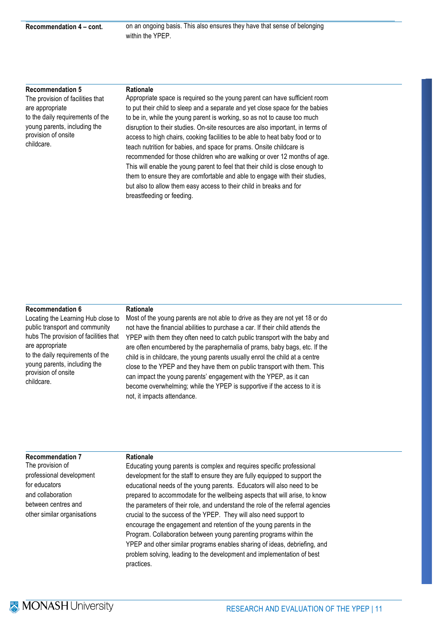**Recommendation 4 – cont.** on an ongoing basis. This also ensures they have that sense of belonging within the YPEP.

#### **Recommendation 5**

The provision of facilities that are appropriate to the daily requirements of the young parents, including the provision of onsite childcare.

#### **Rationale**

Appropriate space is required so the young parent can have sufficient room to put their child to sleep and a separate and yet close space for the babies to be in, while the young parent is working, so as not to cause too much disruption to their studies. On-site resources are also important, in terms of access to high chairs, cooking facilities to be able to heat baby food or to teach nutrition for babies, and space for prams. Onsite childcare is recommended for those children who are walking or over 12 months of age. This will enable the young parent to feel that their child is close enough to them to ensure they are comfortable and able to engage with their studies, but also to allow them easy access to their child in breaks and for breastfeeding or feeding.

#### **Recommendation 6**

Locating the Learning Hub close to public transport and community hubs The provision of facilities that are appropriate to the daily requirements of the young parents, including the provision of onsite childcare.

#### **Rationale**

Most of the young parents are not able to drive as they are not yet 18 or do not have the financial abilities to purchase a car. If their child attends the YPEP with them they often need to catch public transport with the baby and are often encumbered by the paraphernalia of prams, baby bags, etc. If the child is in childcare, the young parents usually enrol the child at a centre close to the YPEP and they have them on public transport with them. This can impact the young parents' engagement with the YPEP, as it can become overwhelming; while the YPEP is supportive if the access to it is not, it impacts attendance.

#### **Recommendation 7**

The provision of professional development for educators and collaboration between centres and other similar organisations

#### **Rationale**

Educating young parents is complex and requires specific professional development for the staff to ensure they are fully equipped to support the educational needs of the young parents. Educators will also need to be prepared to accommodate for the wellbeing aspects that will arise, to know the parameters of their role, and understand the role of the referral agencies crucial to the success of the YPEP. They will also need support to encourage the engagement and retention of the young parents in the Program. Collaboration between young parenting programs within the YPEP and other similar programs enables sharing of ideas, debriefing, and problem solving, leading to the development and implementation of best practices.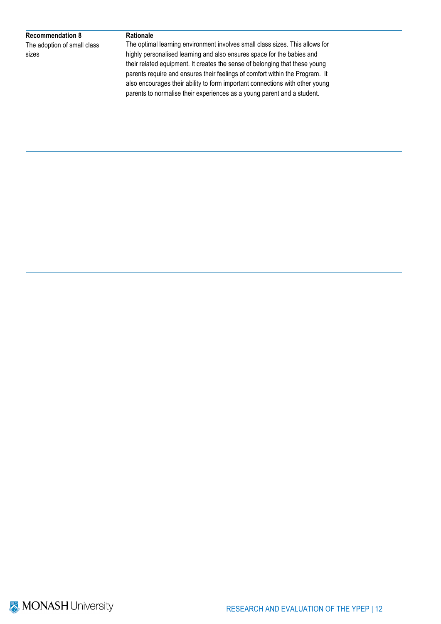#### **Recommendation 8**

The adoption of small class sizes

#### **Rationale**

The optimal learning environment involves small class sizes. This allows for highly personalised learning and also ensures space for the babies and their related equipment. It creates the sense of belonging that these young parents require and ensures their feelings of comfort within the Program. It also encourages their ability to form important connections with other young parents to normalise their experiences as a young parent and a student.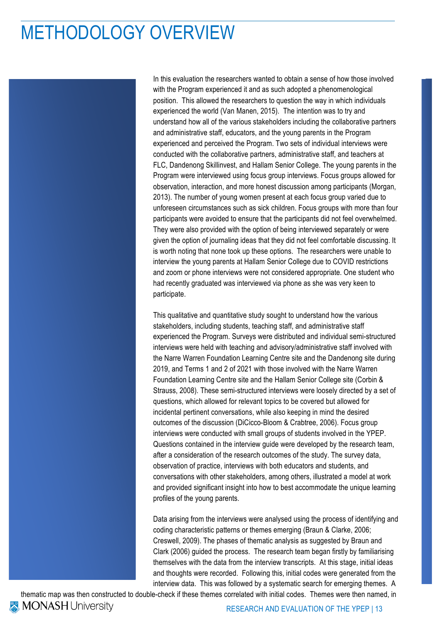## METHODOLOGY OVERVIEW

In this evaluation the researchers wanted to obtain a sense of how those involved with the Program experienced it and as such adopted a phenomenological position. This allowed the researchers to question the way in which individuals experienced the world (Van Manen, 2015). The intention was to try and understand how all of the various stakeholders including the collaborative partners and administrative staff, educators, and the young parents in the Program experienced and perceived the Program. Two sets of individual interviews were conducted with the collaborative partners, administrative staff, and teachers at FLC, Dandenong Skillinvest, and Hallam Senior College. The young parents in the Program were interviewed using focus group interviews. Focus groups allowed for observation, interaction, and more honest discussion among participants (Morgan, 2013). The number of young women present at each focus group varied due to unforeseen circumstances such as sick children. Focus groups with more than four participants were avoided to ensure that the participants did not feel overwhelmed. They were also provided with the option of being interviewed separately or were given the option of journaling ideas that they did not feel comfortable discussing. It is worth noting that none took up these options. The researchers were unable to interview the young parents at Hallam Senior College due to COVID restrictions and zoom or phone interviews were not considered appropriate. One student who had recently graduated was interviewed via phone as she was very keen to participate.

This qualitative and quantitative study sought to understand how the various stakeholders, including students, teaching staff, and administrative staff experienced the Program. Surveys were distributed and individual semi-structured interviews were held with teaching and advisory/administrative staff involved with the Narre Warren Foundation Learning Centre site and the Dandenong site during 2019, and Terms 1 and 2 of 2021 with those involved with the Narre Warren Foundation Learning Centre site and the Hallam Senior College site (Corbin & Strauss, 2008). These semi-structured interviews were loosely directed by a set of questions, which allowed for relevant topics to be covered but allowed for incidental pertinent conversations, while also keeping in mind the desired outcomes of the discussion (DiCicco-Bloom & Crabtree, 2006). Focus group interviews were conducted with small groups of students involved in the YPEP. Questions contained in the interview guide were developed by the research team, after a consideration of the research outcomes of the study. The survey data, observation of practice, interviews with both educators and students, and conversations with other stakeholders, among others, illustrated a model at work and provided significant insight into how to best accommodate the unique learning profiles of the young parents.

Data arising from the interviews were analysed using the process of identifying and coding characteristic patterns or themes emerging (Braun & Clarke, 2006; Creswell, 2009). The phases of thematic analysis as suggested by Braun and Clark (2006) guided the process. The research team began firstly by familiarising themselves with the data from the interview transcripts. At this stage, initial ideas and thoughts were recorded. Following this, initial codes were generated from the interview data. This was followed by a systematic search for emerging themes. A

thematic map was then constructed to double-check if these themes correlated with initial codes. Themes were then named, in **MONASH University** RESEARCH AND EVALUATION OF THE YPEP | 13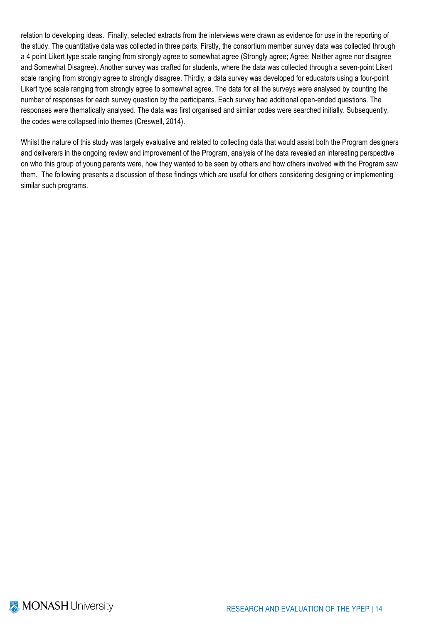relation to developing ideas. Finally, selected extracts from the interviews were drawn as evidence for use in the reporting of the study. The quantitative data was collected in three parts. Firstly, the consortium member survey data was collected through a 4 point Likert type scale ranging from strongly agree to somewhat agree (Strongly agree; Agree; Neither agree nor disagree and Somewhat Disagree). Another survey was crafted for students, where the data was collected through a seven-point Likert scale ranging from strongly agree to strongly disagree. Thirdly, a data survey was developed for educators using a four-point Likert type scale ranging from strongly agree to somewhat agree. The data for all the surveys were analysed by counting the number of responses for each survey question by the participants. Each survey had additional open-ended questions. The responses were thematically analysed. The data was first organised and similar codes were searched initially. Subsequently, the codes were collapsed into themes (Creswell, 2014).

Whilst the nature of this study was largely evaluative and related to collecting data that would assist both the Program designers and deliverers in the ongoing review and improvement of the Program, analysis of the data revealed an interesting perspective on who this group of young parents were, how they wanted to be seen by others and how others involved with the Program saw them. The following presents a discussion of these findings which are useful for others considering designing or implementing similar such programs.

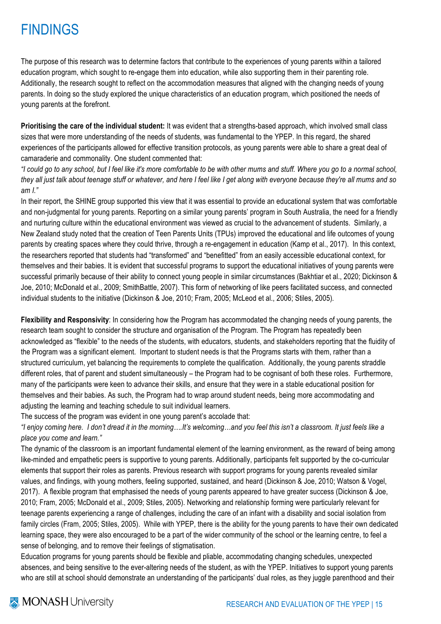### FINDINGS

The purpose of this research was to determine factors that contribute to the experiences of young parents within a tailored education program, which sought to re-engage them into education, while also supporting them in their parenting role. Additionally, the research sought to reflect on the accommodation measures that aligned with the changing needs of young parents. In doing so the study explored the unique characteristics of an education program, which positioned the needs of young parents at the forefront.

**Prioritising the care of the individual student:** It was evident that a strengths-based approach, which involved small class sizes that were more understanding of the needs of students, was fundamental to the YPEP. In this regard, the shared experiences of the participants allowed for effective transition protocols, as young parents were able to share a great deal of camaraderie and commonality. One student commented that:

*"I could go to any school, but I feel like it's more comfortable to be with other mums and stuff. Where you go to a normal school, they all just talk about teenage stuff or whatever, and here I feel like I get along with everyone because they're all mums and so am I."*

In their report, the SHINE group supported this view that it was essential to provide an educational system that was comfortable and non-judgmental for young parents. Reporting on a similar young parents' program in South Australia, the need for a friendly and nurturing culture within the educational environment was viewed as crucial to the advancement of students. Similarly, a New Zealand study noted that the creation of Teen Parents Units (TPUs) improved the educational and life outcomes of young parents by creating spaces where they could thrive, through a re-engagement in education (Kamp et al., 2017). In this context, the researchers reported that students had "transformed" and "benefitted" from an easily accessible educational context, for themselves and their babies. It is evident that successful programs to support the educational initiatives of young parents were successful primarily because of their ability to connect young people in similar circumstances (Bakhtiar et al., 2020; Dickinson & Joe, 2010; McDonald et al., 2009; SmithBattle, 2007). This form of networking of like peers facilitated success, and connected individual students to the initiative (Dickinson & Joe, 2010; Fram, 2005; McLeod et al., 2006; Stiles, 2005).

**Flexibility and Responsivity**: In considering how the Program has accommodated the changing needs of young parents, the research team sought to consider the structure and organisation of the Program. The Program has repeatedly been acknowledged as "flexible" to the needs of the students, with educators, students, and stakeholders reporting that the fluidity of the Program was a significant element. Important to student needs is that the Programs starts with them, rather than a structured curriculum, yet balancing the requirements to complete the qualification. Additionally, the young parents straddle different roles, that of parent and student simultaneously – the Program had to be cognisant of both these roles. Furthermore, many of the participants were keen to advance their skills, and ensure that they were in a stable educational position for themselves and their babies. As such, the Program had to wrap around student needs, being more accommodating and adjusting the learning and teaching schedule to suit individual learners.

The success of the program was evident in one young parent's accolade that:

*"I enjoy coming here. I don't dread it in the morning….It's welcoming…and you feel this isn't a classroom. It just feels like a place you come and learn."*

The dynamic of the classroom is an important fundamental element of the learning environment, as the reward of being among like-minded and empathetic peers is supportive to young parents. Additionally, participants felt supported by the co-curricular elements that support their roles as parents. Previous research with support programs for young parents revealed similar values, and findings, with young mothers, feeling supported, sustained, and heard (Dickinson & Joe, 2010; Watson & Vogel, 2017). A flexible program that emphasised the needs of young parents appeared to have greater success (Dickinson & Joe, 2010; Fram, 2005; McDonald et al., 2009; Stiles, 2005). Networking and relationship forming were particularly relevant for teenage parents experiencing a range of challenges, including the care of an infant with a disability and social isolation from family circles (Fram, 2005; Stiles, 2005). While with YPEP, there is the ability for the young parents to have their own dedicated learning space, they were also encouraged to be a part of the wider community of the school or the learning centre, to feel a sense of belonging, and to remove their feelings of stigmatisation.

Education programs for young parents should be flexible and pliable, accommodating changing schedules, unexpected absences, and being sensitive to the ever-altering needs of the student, as with the YPEP. Initiatives to support young parents who are still at school should demonstrate an understanding of the participants' dual roles, as they juggle parenthood and their

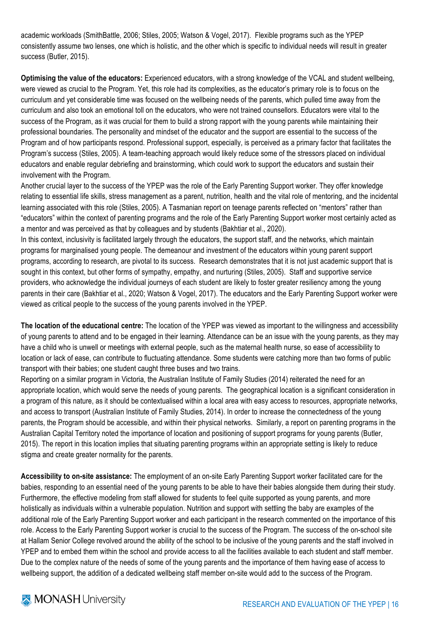academic workloads (SmithBattle, 2006; Stiles, 2005; Watson & Vogel, 2017). Flexible programs such as the YPEP consistently assume two lenses, one which is holistic, and the other which is specific to individual needs will result in greater success (Butler, 2015).

**Optimising the value of the educators:** Experienced educators, with a strong knowledge of the VCAL and student wellbeing, were viewed as crucial to the Program. Yet, this role had its complexities, as the educator's primary role is to focus on the curriculum and yet considerable time was focused on the wellbeing needs of the parents, which pulled time away from the curriculum and also took an emotional toll on the educators, who were not trained counsellors. Educators were vital to the success of the Program, as it was crucial for them to build a strong rapport with the young parents while maintaining their professional boundaries. The personality and mindset of the educator and the support are essential to the success of the Program and of how participants respond. Professional support, especially, is perceived as a primary factor that facilitates the Program's success (Stiles, 2005). A team-teaching approach would likely reduce some of the stressors placed on individual educators and enable regular debriefing and brainstorming, which could work to support the educators and sustain their involvement with the Program.

Another crucial layer to the success of the YPEP was the role of the Early Parenting Support worker. They offer knowledge relating to essential life skills, stress management as a parent, nutrition, health and the vital role of mentoring, and the incidental learning associated with this role (Stiles, 2005). A Tasmanian report on teenage parents reflected on "mentors" rather than "educators" within the context of parenting programs and the role of the Early Parenting Support worker most certainly acted as a mentor and was perceived as that by colleagues and by students (Bakhtiar et al., 2020).

In this context, inclusivity is facilitated largely through the educators, the support staff, and the networks, which maintain programs for marginalised young people. The demeanour and investment of the educators within young parent support programs, according to research, are pivotal to its success. Research demonstrates that it is not just academic support that is sought in this context, but other forms of sympathy, empathy, and nurturing (Stiles, 2005). Staff and supportive service providers, who acknowledge the individual journeys of each student are likely to foster greater resiliency among the young parents in their care (Bakhtiar et al., 2020; Watson & Vogel, 2017). The educators and the Early Parenting Support worker were viewed as critical people to the success of the young parents involved in the YPEP.

**The location of the educational centre:** The location of the YPEP was viewed as important to the willingness and accessibility of young parents to attend and to be engaged in their learning. Attendance can be an issue with the young parents, as they may have a child who is unwell or meetings with external people, such as the maternal health nurse, so ease of accessibility to location or lack of ease, can contribute to fluctuating attendance. Some students were catching more than two forms of public transport with their babies; one student caught three buses and two trains.

Reporting on a similar program in Victoria, the Australian Institute of Family Studies (2014) reiterated the need for an appropriate location, which would serve the needs of young parents. The geographical location is a significant consideration in a program of this nature, as it should be contextualised within a local area with easy access to resources, appropriate networks, and access to transport (Australian Institute of Family Studies, 2014). In order to increase the connectedness of the young parents, the Program should be accessible, and within their physical networks. Similarly, a report on parenting programs in the Australian Capital Territory noted the importance of location and positioning of support programs for young parents (Butler, 2015). The report in this location implies that situating parenting programs within an appropriate setting is likely to reduce stigma and create greater normality for the parents.

**Accessibility to on-site assistance:** The employment of an on-site Early Parenting Support worker facilitated care for the babies, responding to an essential need of the young parents to be able to have their babies alongside them during their study. Furthermore, the effective modeling from staff allowed for students to feel quite supported as young parents, and more holistically as individuals within a vulnerable population. Nutrition and support with settling the baby are examples of the additional role of the Early Parenting Support worker and each participant in the research commented on the importance of this role. Access to the Early Parenting Support worker is crucial to the success of the Program. The success of the on-school site at Hallam Senior College revolved around the ability of the school to be inclusive of the young parents and the staff involved in YPEP and to embed them within the school and provide access to all the facilities available to each student and staff member. Due to the complex nature of the needs of some of the young parents and the importance of them having ease of access to wellbeing support, the addition of a dedicated wellbeing staff member on-site would add to the success of the Program.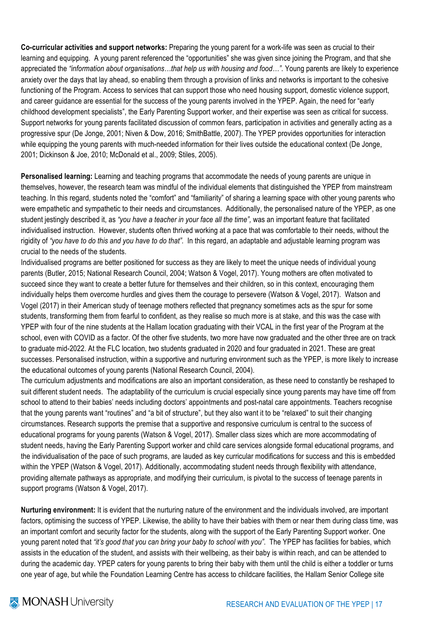**Co-curricular activities and support networks:** Preparing the young parent for a work-life was seen as crucial to their learning and equipping. A young parent referenced the "opportunities" she was given since joining the Program, and that she appreciated the *"information about organisations…that help us with housing and food…"*. Young parents are likely to experience anxiety over the days that lay ahead, so enabling them through a provision of links and networks is important to the cohesive functioning of the Program. Access to services that can support those who need housing support, domestic violence support, and career guidance are essential for the success of the young parents involved in the YPEP. Again, the need for "early childhood development specialists", the Early Parenting Support worker, and their expertise was seen as critical for success. Support networks for young parents facilitated discussion of common fears, participation in activities and generally acting as a progressive spur (De Jonge, 2001; Niven & Dow, 2016; SmithBattle, 2007). The YPEP provides opportunities for interaction while equipping the young parents with much-needed information for their lives outside the educational context (De Jonge, 2001; Dickinson & Joe, 2010; McDonald et al., 2009; Stiles, 2005).

**Personalised learning:** Learning and teaching programs that accommodate the needs of young parents are unique in themselves, however, the research team was mindful of the individual elements that distinguished the YPEP from mainstream teaching. In this regard, students noted the "comfort" and "familiarity" of sharing a learning space with other young parents who were empathetic and sympathetic to their needs and circumstances. Additionally, the personalised nature of the YPEP, as one student jestingly described it, as *"you have a teacher in your face all the time",* was an important feature that facilitated individualised instruction. However, students often thrived working at a pace that was comfortable to their needs, without the rigidity of *"you have to do this and you have to do that".* In this regard, an adaptable and adjustable learning program was crucial to the needs of the students.

Individualised programs are better positioned for success as they are likely to meet the unique needs of individual young parents (Butler, 2015; National Research Council, 2004; Watson & Vogel, 2017). Young mothers are often motivated to succeed since they want to create a better future for themselves and their children, so in this context, encouraging them individually helps them overcome hurdles and gives them the courage to persevere (Watson & Vogel, 2017). Watson and Vogel (2017) in their American study of teenage mothers reflected that pregnancy sometimes acts as the spur for some students, transforming them from fearful to confident, as they realise so much more is at stake, and this was the case with YPEP with four of the nine students at the Hallam location graduating with their VCAL in the first year of the Program at the school, even with COVID as a factor. Of the other five students, two more have now graduated and the other three are on track to graduate mid-2022. At the FLC location, two students graduated in 2020 and four graduated in 2021. These are great successes. Personalised instruction, within a supportive and nurturing environment such as the YPEP, is more likely to increase the educational outcomes of young parents (National Research Council, 2004).

The curriculum adjustments and modifications are also an important consideration, as these need to constantly be reshaped to suit different student needs. The adaptability of the curriculum is crucial especially since young parents may have time off from school to attend to their babies' needs including doctors' appointments and post-natal care appointments. Teachers recognise that the young parents want "routines" and "a bit of structure", but they also want it to be "relaxed" to suit their changing circumstances. Research supports the premise that a supportive and responsive curriculum is central to the success of educational programs for young parents (Watson & Vogel, 2017). Smaller class sizes which are more accommodating of student needs, having the Early Parenting Support worker and child care services alongside formal educational programs, and the individualisation of the pace of such programs, are lauded as key curricular modifications for success and this is embedded within the YPEP (Watson & Vogel, 2017). Additionally, accommodating student needs through flexibility with attendance, providing alternate pathways as appropriate, and modifying their curriculum, is pivotal to the success of teenage parents in support programs (Watson & Vogel, 2017).

**Nurturing environment:** It is evident that the nurturing nature of the environment and the individuals involved, are important factors, optimising the success of YPEP. Likewise, the ability to have their babies with them or near them during class time, was an important comfort and security factor for the students, along with the support of the Early Parenting Support worker. One young parent noted that *"it's good that you can bring your baby to school with you"*. The YPEP has facilities for babies, which assists in the education of the student, and assists with their wellbeing, as their baby is within reach, and can be attended to during the academic day. YPEP caters for young parents to bring their baby with them until the child is either a toddler or turns one year of age, but while the Foundation Learning Centre has access to childcare facilities, the Hallam Senior College site

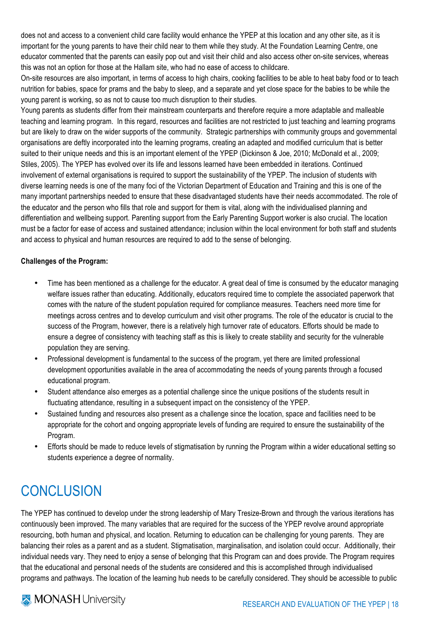does not and access to a convenient child care facility would enhance the YPEP at this location and any other site, as it is important for the young parents to have their child near to them while they study. At the Foundation Learning Centre, one educator commented that the parents can easily pop out and visit their child and also access other on-site services, whereas this was not an option for those at the Hallam site, who had no ease of access to childcare.

On-site resources are also important, in terms of access to high chairs, cooking facilities to be able to heat baby food or to teach nutrition for babies, space for prams and the baby to sleep, and a separate and yet close space for the babies to be while the young parent is working, so as not to cause too much disruption to their studies.

Young parents as students differ from their mainstream counterparts and therefore require a more adaptable and malleable teaching and learning program. In this regard, resources and facilities are not restricted to just teaching and learning programs but are likely to draw on the wider supports of the community. Strategic partnerships with community groups and governmental organisations are deftly incorporated into the learning programs, creating an adapted and modified curriculum that is better suited to their unique needs and this is an important element of the YPEP (Dickinson & Joe, 2010; McDonald et al., 2009; Stiles, 2005). The YPEP has evolved over its life and lessons learned have been embedded in iterations. Continued involvement of external organisations is required to support the sustainability of the YPEP. The inclusion of students with diverse learning needs is one of the many foci of the Victorian Department of Education and Training and this is one of the many important partnerships needed to ensure that these disadvantaged students have their needs accommodated. The role of the educator and the person who fills that role and support for them is vital, along with the individualised planning and differentiation and wellbeing support. Parenting support from the Early Parenting Support worker is also crucial. The location must be a factor for ease of access and sustained attendance; inclusion within the local environment for both staff and students and access to physical and human resources are required to add to the sense of belonging.

### **Challenges of the Program:**

- Time has been mentioned as a challenge for the educator. A great deal of time is consumed by the educator managing welfare issues rather than educating. Additionally, educators required time to complete the associated paperwork that comes with the nature of the student population required for compliance measures. Teachers need more time for meetings across centres and to develop curriculum and visit other programs. The role of the educator is crucial to the success of the Program, however, there is a relatively high turnover rate of educators. Efforts should be made to ensure a degree of consistency with teaching staff as this is likely to create stability and security for the vulnerable population they are serving.
- Professional development is fundamental to the success of the program, yet there are limited professional development opportunities available in the area of accommodating the needs of young parents through a focused educational program.
- Student attendance also emerges as a potential challenge since the unique positions of the students result in fluctuating attendance, resulting in a subsequent impact on the consistency of the YPEP.
- Sustained funding and resources also present as a challenge since the location, space and facilities need to be appropriate for the cohort and ongoing appropriate levels of funding are required to ensure the sustainability of the Program.
- Efforts should be made to reduce levels of stigmatisation by running the Program within a wider educational setting so students experience a degree of normality.

### **CONCLUSION**

The YPEP has continued to develop under the strong leadership of Mary Tresize-Brown and through the various iterations has continuously been improved. The many variables that are required for the success of the YPEP revolve around appropriate resourcing, both human and physical, and location. Returning to education can be challenging for young parents. They are balancing their roles as a parent and as a student. Stigmatisation, marginalisation, and isolation could occur. Additionally, their individual needs vary. They need to enjoy a sense of belonging that this Program can and does provide. The Program requires that the educational and personal needs of the students are considered and this is accomplished through individualised programs and pathways. The location of the learning hub needs to be carefully considered. They should be accessible to public

### **X** MONASH University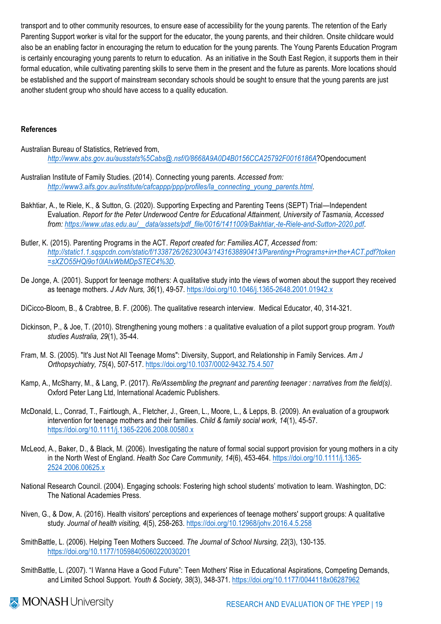transport and to other community resources, to ensure ease of accessibility for the young parents. The retention of the Early Parenting Support worker is vital for the support for the educator, the young parents, and their children. Onsite childcare would also be an enabling factor in encouraging the return to education for the young parents. The Young Parents Education Program is certainly encouraging young parents to return to education. As an initiative in the South East Region, it supports them in their formal education, while cultivating parenting skills to serve them in the present and the future as parents. More locations should be established and the support of mainstream secondary schools should be sought to ensure that the young parents are just another student group who should have access to a quality education.

### **References**

- Australian Bureau of Statistics, Retrieved from, *http://www.abs.gov.au/ausstats%5Cabs@.nsf/0/8668A9A0D4B0156CCA25792F0016186A*?Opendocument
- Australian Institute of Family Studies. (2014). Connecting young parents. *Accessed from: http://www3.aifs.gov.au/institute/cafcappp/ppp/profiles/la\_connecting\_young\_parents.html*.
- Bakhtiar, A., te Riele, K., & Sutton, G. (2020). Supporting Expecting and Parenting Teens (SEPT) Trial—Independent Evaluation. *Report for the Peter Underwood Centre for Educational Attainment, University of Tasmania, Accessed from: https://www.utas.edu.au/\_\_data/assets/pdf\_file/0016/1411009/Bakhtiar,-te-Riele-and-Sutton-2020.pdf*.
- Butler, K. (2015). Parenting Programs in the ACT. *Report created for: Families.ACT, Accessed from: http://static1.1.sqspcdn.com/static/f/1338726/26230043/1431638890413/Parenting+Programs+in+the+ACT.pdf?token =sXZO55HQi9o10lAIxWbMDpSTEC4%3D*.
- De Jonge, A. (2001). Support for teenage mothers: A qualitative study into the views of women about the support they received as teenage mothers. *J Adv Nurs, 36*(1), 49-57. https://doi.org/10.1046/j.1365-2648.2001.01942.x
- DiCicco-Bloom, B., & Crabtree, B. F. (2006). The qualitative research interview. Medical Educator, 40, 314-321.
- Dickinson, P., & Joe, T. (2010). Strengthening young mothers : a qualitative evaluation of a pilot support group program. *Youth studies Australia, 29*(1), 35-44.
- Fram, M. S. (2005). "It's Just Not All Teenage Moms": Diversity, Support, and Relationship in Family Services. *Am J Orthopsychiatry, 75*(4), 507-517. https://doi.org/10.1037/0002-9432.75.4.507
- Kamp, A., McSharry, M., & Lang, P. (2017). *Re/Assembling the pregnant and parenting teenager : narratives from the field(s)*. Oxford Peter Lang Ltd, International Academic Publishers.
- McDonald, L., Conrad, T., Fairtlough, A., Fletcher, J., Green, L., Moore, L., & Lepps, B. (2009). An evaluation of a groupwork intervention for teenage mothers and their families. *Child & family social work, 14*(1), 45-57. https://doi.org/10.1111/j.1365-2206.2008.00580.x
- McLeod, A., Baker, D., & Black, M. (2006). Investigating the nature of formal social support provision for young mothers in a city in the North West of England. *Health Soc Care Community, 14*(6), 453-464. https://doi.org/10.1111/j.1365- 2524.2006.00625.x
- National Research Council. (2004). Engaging schools: Fostering high school students' motivation to learn. Washington, DC: The National Academies Press.
- Niven, G., & Dow, A. (2016). Health visitors' perceptions and experiences of teenage mothers' support groups: A qualitative study. *Journal of health visiting, 4*(5), 258-263. https://doi.org/10.12968/johv.2016.4.5.258
- SmithBattle, L. (2006). Helping Teen Mothers Succeed. *The Journal of School Nursing, 22*(3), 130-135. https://doi.org/10.1177/10598405060220030201
- SmithBattle, L. (2007). "I Wanna Have a Good Future": Teen Mothers' Rise in Educational Aspirations, Competing Demands, and Limited School Support. *Youth & Society, 38*(3), 348-371. https://doi.org/10.1177/0044118x06287962